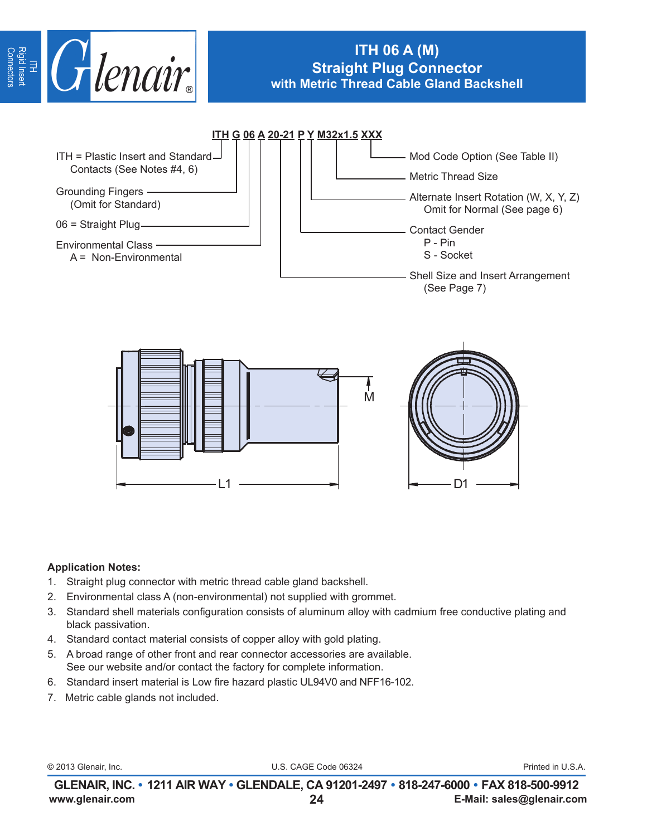

# **ITH 06 A (M) Straight Plug Connector with Metric Thread Cable Gland Backshell**



#### **Application Notes:**

- 1. Straight plug connector with metric thread cable gland backshell.
- 2. Environmental class A (non-environmental) not supplied with grommet.
- 3. Standard shell materials configuration consists of aluminum alloy with cadmium free conductive plating and black passivation.
- 4. Standard contact material consists of copper alloy with gold plating.
- 5. A broad range of other front and rear connector accessories are available. See our website and/or contact the factory for complete information.
- 6. Standard insert material is Low fire hazard plastic UL94V0 and NFF16-102.
- 7. Metric cable glands not included.

© 2013 Glenair, Inc. U.S. CAGE Code 06324 Printed in U.S.A.